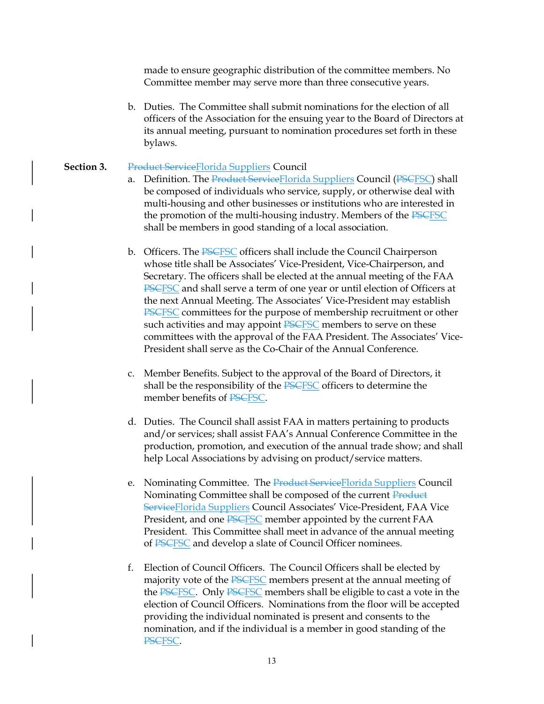made to ensure geographic distribution of the committee members. No Committee member may serve more than three consecutive years.

b. Duties. The Committee shall submit nominations for the election of all officers of the Association for the ensuing year to the Board of Directors at its annual meeting, pursuant to nomination procedures set forth in these bylaws.

## Section 3. Product ServiceFlorida Suppliers Council

- a. Definition. The Product Service Florida Suppliers Council (PSCFSC) shall be composed of individuals who service, supply, or otherwise deal with multi-housing and other businesses or institutions who are interested in the promotion of the multi-housing industry. Members of the PSCFSC shall be members in good standing of a local association.
- b. Officers. The **PSCFSC** officers shall include the Council Chairperson whose title shall be Associates' Vice-President, Vice-Chairperson, and Secretary. The officers shall be elected at the annual meeting of the FAA PSCFSC and shall serve a term of one year or until election of Officers at the next Annual Meeting. The Associates' Vice-President may establish PSCFSC committees for the purpose of membership recruitment or other such activities and may appoint PSCFSC members to serve on these committees with the approval of the FAA President. The Associates' Vice-President shall serve as the Co-Chair of the Annual Conference.
- c. Member Benefits. Subject to the approval of the Board of Directors, it shall be the responsibility of the PSCFSC officers to determine the member benefits of PSCFSC.
- d. Duties. The Council shall assist FAA in matters pertaining to products and/or services; shall assist FAA's Annual Conference Committee in the production, promotion, and execution of the annual trade show; and shall help Local Associations by advising on product/service matters.
- e. Nominating Committee. The Product Service Florida Suppliers Council Nominating Committee shall be composed of the current Product ServiceFlorida Suppliers Council Associates' Vice-President, FAA Vice President, and one PSCFSC member appointed by the current FAA President. This Committee shall meet in advance of the annual meeting of PSCFSC and develop a slate of Council Officer nominees.
- f. Election of Council Officers. The Council Officers shall be elected by majority vote of the **PSCFSC** members present at the annual meeting of the PSCFSC. Only PSCFSC members shall be eligible to cast a vote in the election of Council Officers. Nominations from the floor will be accepted providing the individual nominated is present and consents to the nomination, and if the individual is a member in good standing of the PSCFSC.